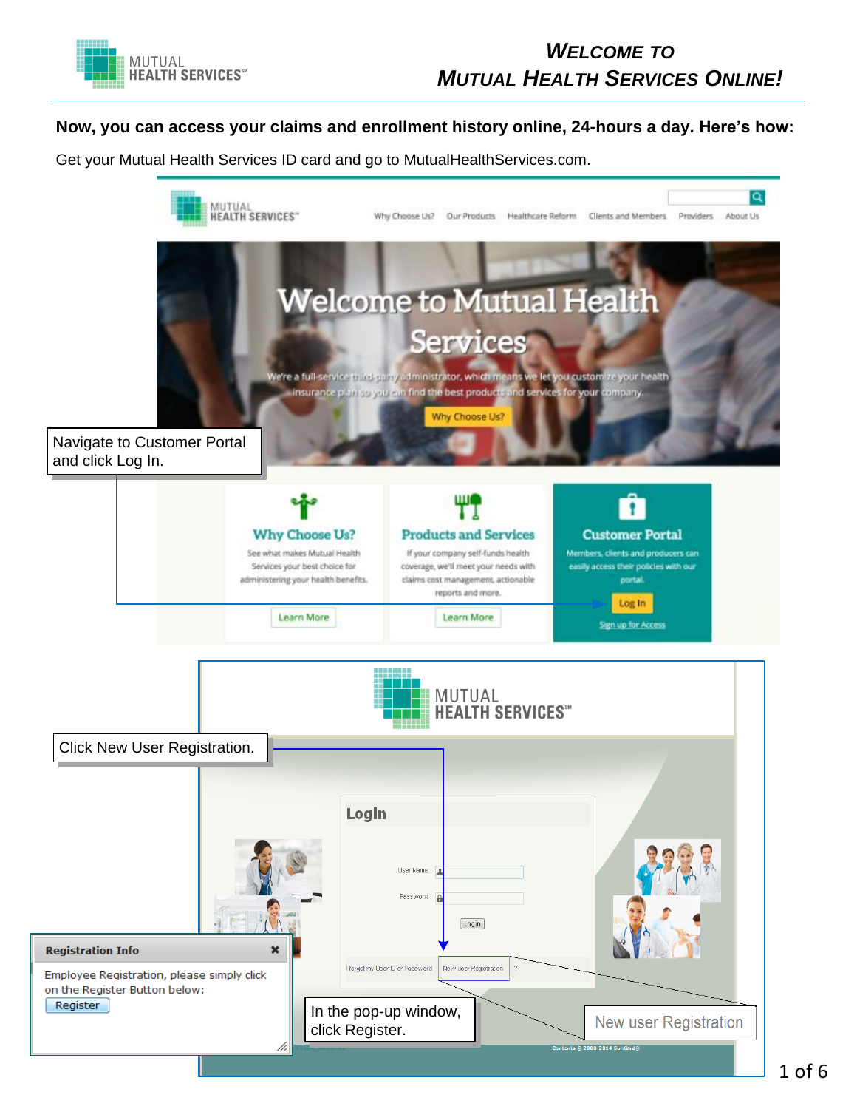

## *WELCOME TO MUTUAL HEALTH SERVICES ONLINE!*

### **Now, you can access your claims and enrollment history online, 24-hours a day. Here's how:**

Get your Mutual Health Services ID card and go to MutualHealthServices.com.

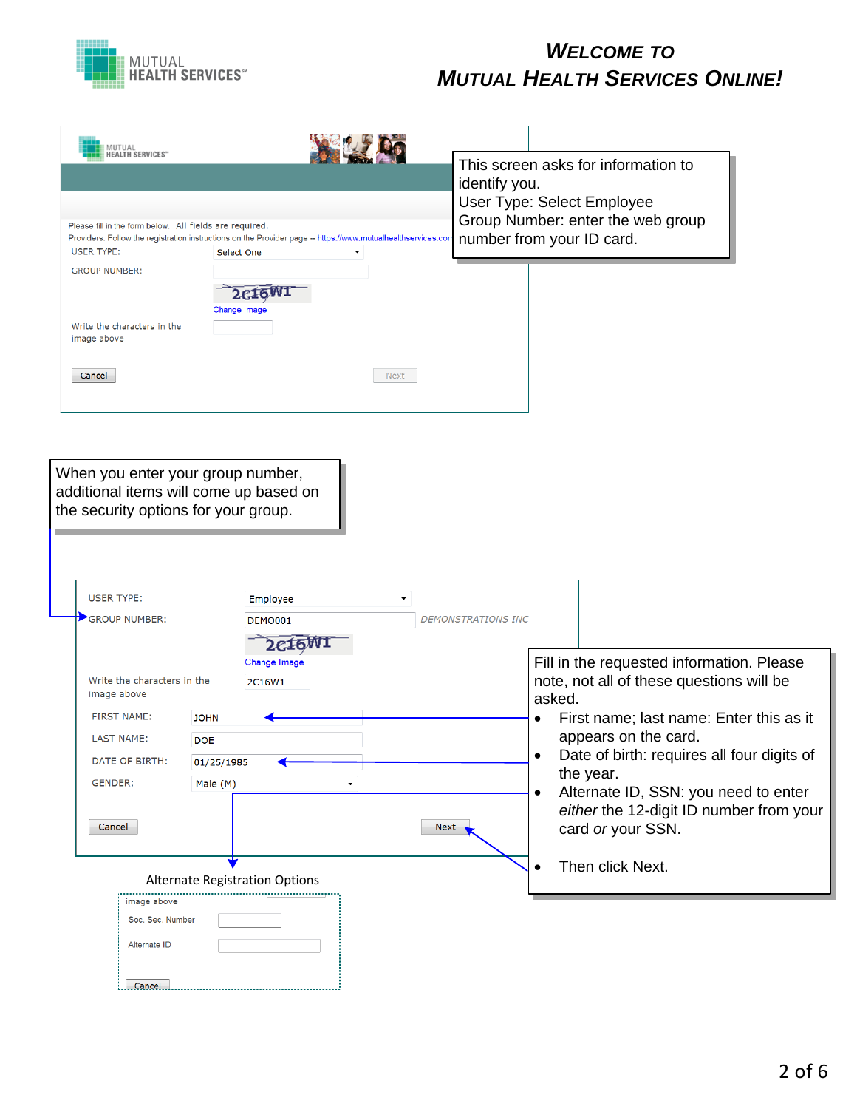

# *WELCOME TO MUTUAL HEALTH SERVICES ONLINE!*

| MUTUAL<br>HEALTH SERVICES"<br>Please fill in the form below. All fields are required.<br>Providers: Follow the registration instructions on the Provider page -- https://www.mutualhealthservices.cor<br><b>USER TYPE:</b> | Select One                           |                                   |      | identify you.             | This screen asks for information to<br>User Type: Select Employee<br>Group Number: enter the web group<br>number from your ID card.                                |
|----------------------------------------------------------------------------------------------------------------------------------------------------------------------------------------------------------------------------|--------------------------------------|-----------------------------------|------|---------------------------|--------------------------------------------------------------------------------------------------------------------------------------------------------------------|
| <b>GROUP NUMBER:</b><br>Write the characters in the<br>image above<br>Cancel                                                                                                                                               | Change Image                         | 2c16W                             | Next |                           |                                                                                                                                                                    |
| When you enter your group number,<br>additional items will come up based on<br>the security options for your group.                                                                                                        |                                      |                                   |      |                           |                                                                                                                                                                    |
| <b>USER TYPE:</b><br><b>GROUP NUMBER:</b>                                                                                                                                                                                  |                                      | Employee<br><b>DEMO001</b><br>2CI |      | <b>DEMONSTRATIONS INC</b> |                                                                                                                                                                    |
| Write the characters in the<br>image above<br><b>FIRST NAME:</b><br><b>LAST NAME:</b>                                                                                                                                      | <b>JOHN</b>                          | Change Image<br>2C16W1            |      |                           | Fill in the requested information. Please<br>note, not all of these questions will be<br>asked.<br>First name; last name: Enter this as it<br>appears on the card. |
| DATE OF BIRTH:                                                                                                                                                                                                             | <b>DOE</b><br>01/25/1985<br>Male (M) |                                   |      |                           | Date of birth: requires all four digits of<br>the year.                                                                                                            |
| GENDER:<br>Cancel                                                                                                                                                                                                          |                                      |                                   | Next |                           | Alternate ID, SSN: you need to enter<br>٠<br>either the 12-digit ID number from your<br>card or your SSN.                                                          |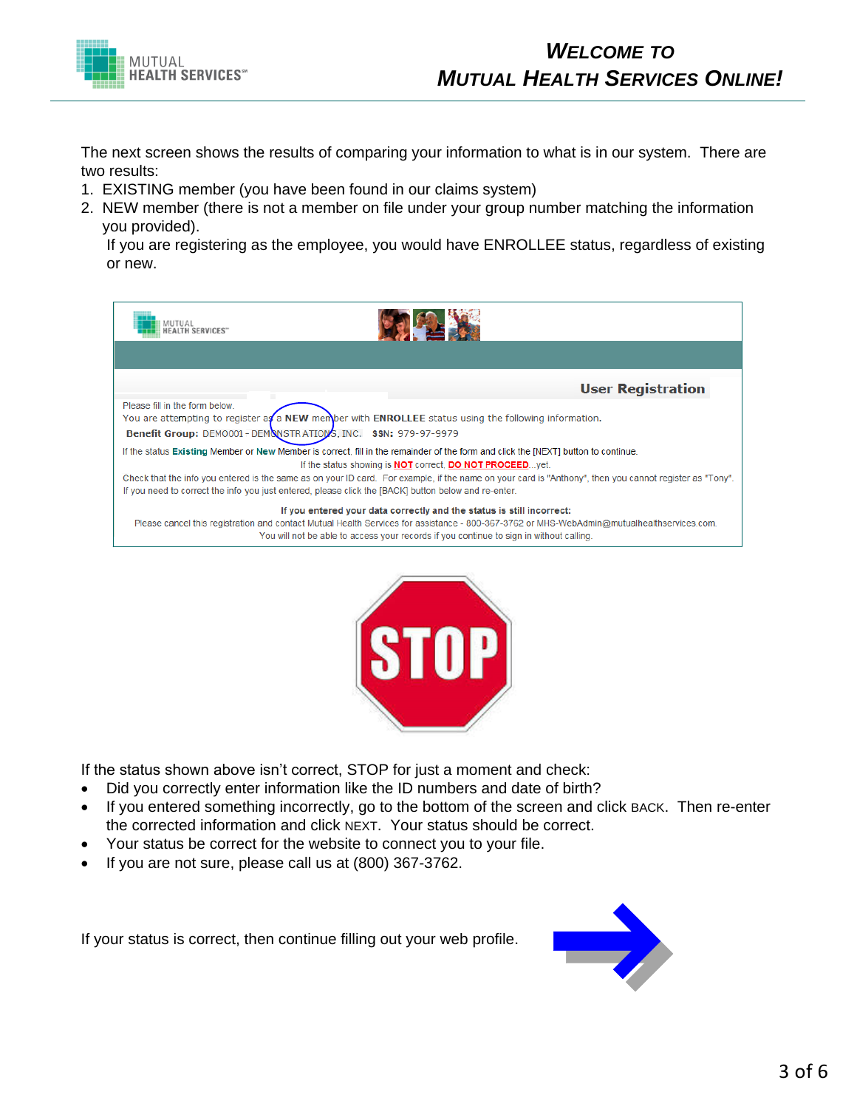

The next screen shows the results of comparing your information to what is in our system. There are two results:

- 1. EXISTING member (you have been found in our claims system)
- 2. NEW member (there is not a member on file under your group number matching the information you provided).

If you are registering as the employee, you would have ENROLLEE status, regardless of existing or new.

| MUTUAL<br><b>TH SERVICES"</b>                                                                                                                                                                                                                                   |                                                                                         |                                                                         |                          |
|-----------------------------------------------------------------------------------------------------------------------------------------------------------------------------------------------------------------------------------------------------------------|-----------------------------------------------------------------------------------------|-------------------------------------------------------------------------|--------------------------|
|                                                                                                                                                                                                                                                                 |                                                                                         |                                                                         |                          |
|                                                                                                                                                                                                                                                                 |                                                                                         |                                                                         | <b>User Registration</b> |
| Please fill in the form below.<br>You are attempting to register $a\mathcal{J}a$ NEW member with ENROLLEE status using the following information.<br>Benefit Group: DEM0001-DEMONSTRATIONS, INC. SSN: 979-97-9979                                               |                                                                                         |                                                                         |                          |
| If the status Existing Member or New Member is correct, fill in the remainder of the form and click the [NEXT] button to continue.                                                                                                                              |                                                                                         | If the status showing is <b>NOT</b> correct, <b>DO NOT PROCEED</b> yet. |                          |
| Check that the info you entered is the same as on your ID card. For example, if the name on your card is "Anthony", then you cannot register as "Tony".<br>If you need to correct the info you just entered, please click the [BACK] button below and re-enter. |                                                                                         |                                                                         |                          |
| Please cancel this registration and contact Mutual Health Services for assistance - 800-367-3762 or MHS-WebAdmin@mutualhealthservices.com.                                                                                                                      | You will not be able to access your records if you continue to sign in without calling. | If you entered your data correctly and the status is still incorrect:   |                          |



If the status shown above isn't correct, STOP for just a moment and check:

- · Did you correctly enter information like the ID numbers and date of birth?
- · If you entered something incorrectly, go to the bottom of the screen and click BACK. Then re-enter the corrected information and click NEXT. Your status should be correct.
- · Your status be correct for the website to connect you to your file.
- · If you are not sure, please call us at (800) 367-3762.

If your status is correct, then continue filling out your web profile.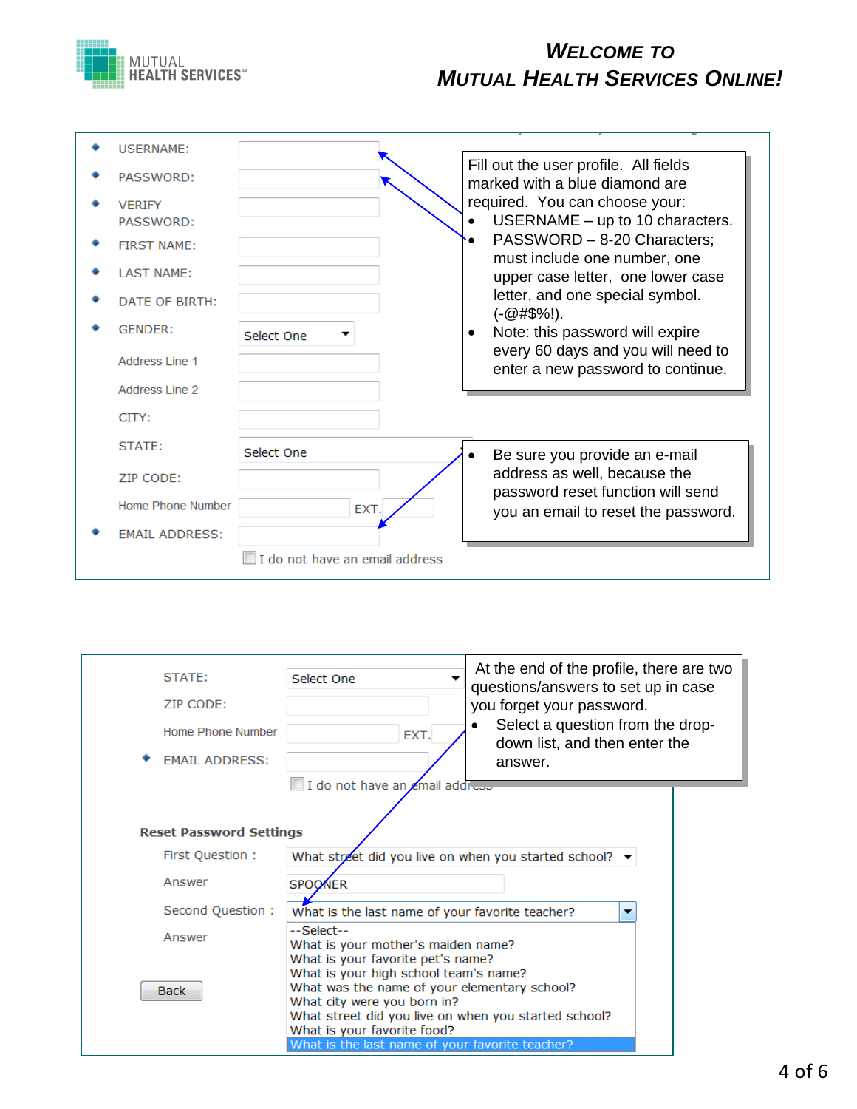

| <b>USERNAME:</b>           |                                |                                                                                                                                                            |                                                                         |
|----------------------------|--------------------------------|------------------------------------------------------------------------------------------------------------------------------------------------------------|-------------------------------------------------------------------------|
| PASSWORD:                  |                                | Fill out the user profile. All fields<br>marked with a blue diamond are<br>required. You can choose your:<br>must include one number, one<br>$(-@#\$%!)$ . |                                                                         |
| <b>VERIFY</b><br>PASSWORD: |                                |                                                                                                                                                            | USERNAME $-$ up to 10 characters.                                       |
| <b>FIRST NAME:</b>         |                                |                                                                                                                                                            | PASSWORD - 8-20 Characters;                                             |
| <b>LAST NAME:</b>          |                                |                                                                                                                                                            | upper case letter, one lower case                                       |
| DATE OF BIRTH:             |                                |                                                                                                                                                            | letter, and one special symbol.                                         |
| <b>GENDER:</b>             | Select One                     |                                                                                                                                                            | Note: this password will expire                                         |
| Address Line 1             |                                |                                                                                                                                                            | every 60 days and you will need to<br>enter a new password to continue. |
| Address Line 2             |                                |                                                                                                                                                            |                                                                         |
| CITY:                      |                                |                                                                                                                                                            |                                                                         |
| STATE:                     | Select One                     |                                                                                                                                                            | Be sure you provide an e-mail                                           |
| ZIP CODE:                  |                                |                                                                                                                                                            | address as well, because the<br>password reset function will send       |
| Home Phone Number          | EXT.                           |                                                                                                                                                            | you an email to reset the password.                                     |
| <b>EMAIL ADDRESS:</b>      |                                |                                                                                                                                                            |                                                                         |
|                            | I do not have an email address |                                                                                                                                                            |                                                                         |

| STATE:<br>ZIP CODE:<br>Home Phone Number<br><b>EMAIL ADDRESS:</b> | Select One<br>EXT.<br>I do not have an email address                                                                                                                                                                                                                                                | At the end of the profile, there are two<br>questions/answers to set up in case<br>you forget your password.<br>Select a question from the drop-<br>down list, and then enter the<br>answer. |  |  |  |
|-------------------------------------------------------------------|-----------------------------------------------------------------------------------------------------------------------------------------------------------------------------------------------------------------------------------------------------------------------------------------------------|----------------------------------------------------------------------------------------------------------------------------------------------------------------------------------------------|--|--|--|
|                                                                   |                                                                                                                                                                                                                                                                                                     |                                                                                                                                                                                              |  |  |  |
|                                                                   |                                                                                                                                                                                                                                                                                                     |                                                                                                                                                                                              |  |  |  |
| <b>Reset Password Settings</b>                                    |                                                                                                                                                                                                                                                                                                     |                                                                                                                                                                                              |  |  |  |
| First Question :                                                  | What street did you live on when you started school? $\blacktriangleright$                                                                                                                                                                                                                          |                                                                                                                                                                                              |  |  |  |
| Answer                                                            | <b>SPOONER</b>                                                                                                                                                                                                                                                                                      |                                                                                                                                                                                              |  |  |  |
| Second Question:                                                  | What is the last name of your favorite teacher?                                                                                                                                                                                                                                                     | $\overline{\phantom{a}}$                                                                                                                                                                     |  |  |  |
| Answer                                                            | --Select--<br>What is your mother's maiden name?                                                                                                                                                                                                                                                    |                                                                                                                                                                                              |  |  |  |
| <b>Back</b>                                                       | What is your favorite pet's name?<br>What is your high school team's name?<br>What was the name of your elementary school?<br>What city were you born in?<br>What street did you live on when you started school?<br>What is your favorite food?<br>What is the last name of your favorite teacher? |                                                                                                                                                                                              |  |  |  |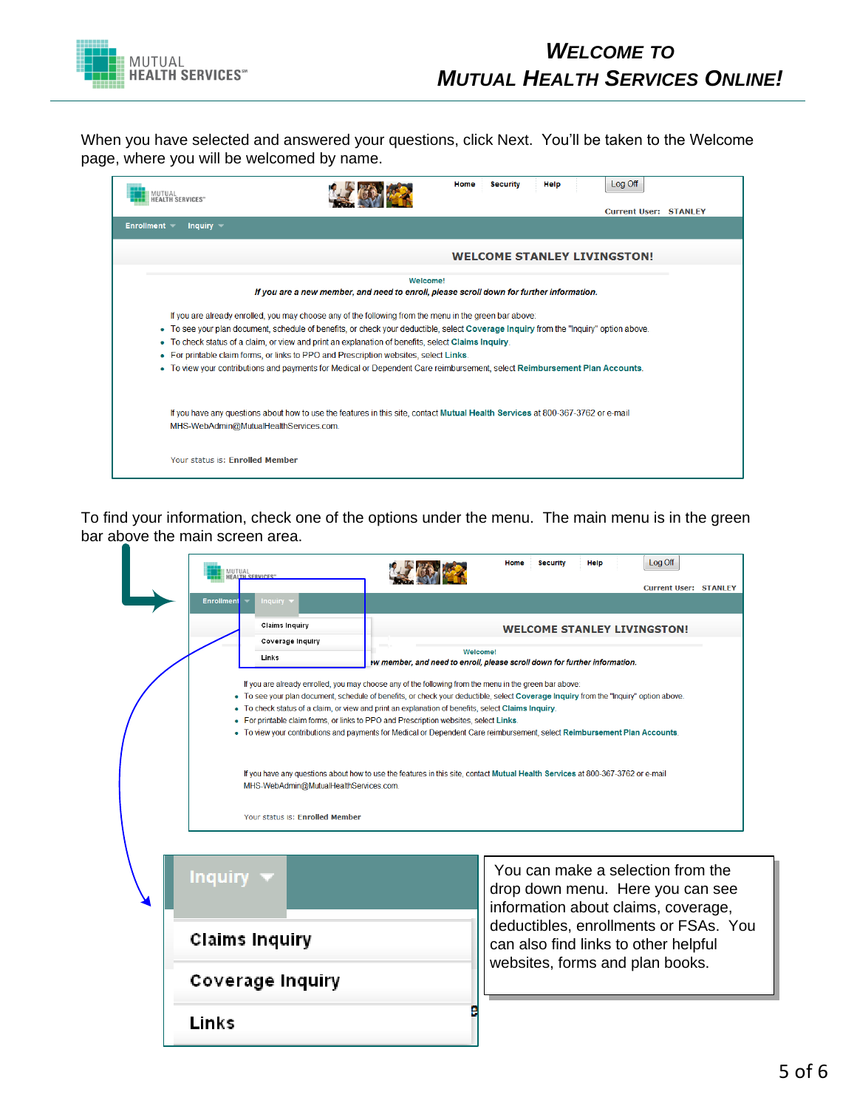

When you have selected and answered your questions, click Next. You'll be taken to the Welcome page, where you will be welcomed by name.

| <b>AUTUAL</b><br><b>ALTH SERVICES</b> "                                                                                                                                  |                                                                                                                                                                                                                                                                                                                                                                                                                                                                                                                                                                          | Home | <b>Security</b> | Help | Log Off<br><b>Current User: STANLEY</b> |  |
|--------------------------------------------------------------------------------------------------------------------------------------------------------------------------|--------------------------------------------------------------------------------------------------------------------------------------------------------------------------------------------------------------------------------------------------------------------------------------------------------------------------------------------------------------------------------------------------------------------------------------------------------------------------------------------------------------------------------------------------------------------------|------|-----------------|------|-----------------------------------------|--|
| Enrollment $\blacktriangledown$<br>Inquiry $\blacktriangledown$                                                                                                          |                                                                                                                                                                                                                                                                                                                                                                                                                                                                                                                                                                          |      |                 |      |                                         |  |
|                                                                                                                                                                          |                                                                                                                                                                                                                                                                                                                                                                                                                                                                                                                                                                          |      |                 |      | <b>WELCOME STANLEY LIVINGSTON!</b>      |  |
|                                                                                                                                                                          | Welcome!<br>If you are a new member, and need to enroll, please scroll down for further information.                                                                                                                                                                                                                                                                                                                                                                                                                                                                     |      |                 |      |                                         |  |
| ٠<br>٠                                                                                                                                                                   | If you are already enrolled, you may choose any of the following from the menu in the green bar above:<br>• To see your plan document, schedule of benefits, or check your deductible, select Coverage Inquiry from the "Inquiry" option above.<br>To check status of a claim, or view and print an explanation of benefits, select Claims Inquiry.<br>• For printable claim forms, or links to PPO and Prescription websites, select Links.<br>To view your contributions and payments for Medical or Dependent Care reimbursement, select Reimbursement Plan Accounts. |      |                 |      |                                         |  |
| If you have any questions about how to use the features in this site, contact Mutual Health Services at 800-367-3762 or e-mail<br>MHS-WebAdmin@MutualHealthServices.com. |                                                                                                                                                                                                                                                                                                                                                                                                                                                                                                                                                                          |      |                 |      |                                         |  |
| Your status is: Enrolled Member                                                                                                                                          |                                                                                                                                                                                                                                                                                                                                                                                                                                                                                                                                                                          |      |                 |      |                                         |  |

To find your information, check one of the options under the menu. The main menu is in the green bar above the main screen area.

| MUTUAL<br>HEALTH SERVICES"<br>Inquiry<br><b>Enrollment</b>                            |                                                                                                                                                                                                                                                                                                                                                                                                                                                                                                                                                                                                                                                                                                                                                                                                                                                                                       | Log Off<br>Home<br><b>Security</b><br>Help<br><b>Current User: STANLEY</b>                                                                                                                                                       |  |  |  |
|---------------------------------------------------------------------------------------|---------------------------------------------------------------------------------------------------------------------------------------------------------------------------------------------------------------------------------------------------------------------------------------------------------------------------------------------------------------------------------------------------------------------------------------------------------------------------------------------------------------------------------------------------------------------------------------------------------------------------------------------------------------------------------------------------------------------------------------------------------------------------------------------------------------------------------------------------------------------------------------|----------------------------------------------------------------------------------------------------------------------------------------------------------------------------------------------------------------------------------|--|--|--|
| <b>Claims Inquiry</b><br>Coverage Inquiry<br>Links<br>Your status is: Enrolled Member | <b>WELCOME STANLEY LIVINGSTON!</b><br>Welcome!<br>W member, and need to enroll, please scroll down for further information.<br>If you are already enrolled, you may choose any of the following from the menu in the green bar above:<br>• To see your plan document, schedule of benefits, or check your deductible, select Coverage Inquiry from the "Inquiry" option above.<br>To check status of a claim, or view and print an explanation of benefits, select Claims Inquiry.<br>• For printable claim forms, or links to PPO and Prescription websites, select Links.<br>• To view your contributions and payments for Medical or Dependent Care reimbursement, select Reimbursement Plan Accounts.<br>If you have any questions about how to use the features in this site, contact Mutual Health Services at 800-367-3762 or e-mail<br>MHS-WebAdmin@MutualHealthServices.com. |                                                                                                                                                                                                                                  |  |  |  |
| Inquiry<br><b>Claims Inquiry</b><br>Coverage Inquiry                                  |                                                                                                                                                                                                                                                                                                                                                                                                                                                                                                                                                                                                                                                                                                                                                                                                                                                                                       | You can make a selection from the<br>drop down menu. Here you can see<br>information about claims, coverage,<br>deductibles, enrollments or FSAs. You<br>can also find links to other helpful<br>websites, forms and plan books. |  |  |  |
| Links                                                                                 |                                                                                                                                                                                                                                                                                                                                                                                                                                                                                                                                                                                                                                                                                                                                                                                                                                                                                       |                                                                                                                                                                                                                                  |  |  |  |